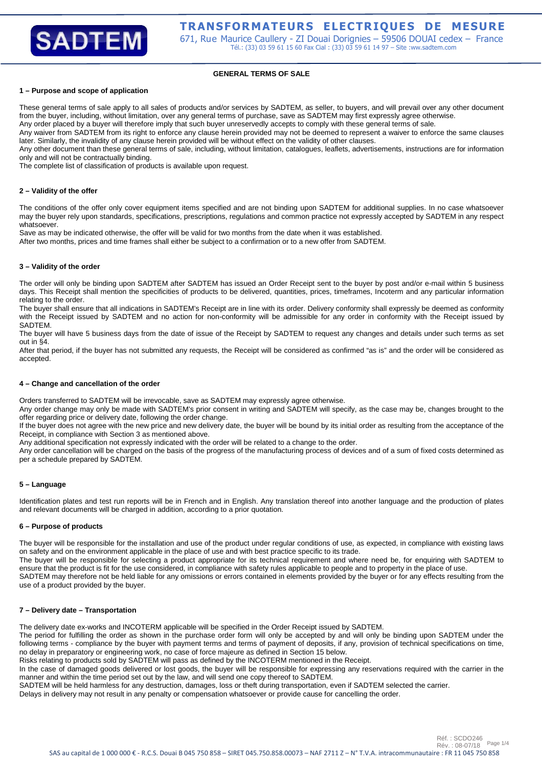

# **GENERAL TERMS OF SALE**

#### **1 – Purpose and scope of application**

These general terms of sale apply to all sales of products and/or services by SADTEM, as seller, to buyers, and will prevail over any other document from the buyer, including, without limitation, over any general terms of purchase, save as SADTEM may first expressly agree otherwise. Any order placed by a buyer will therefore imply that such buyer unreservedly accepts to comply with these general terms of sale.

Any waiver from SADTEM from its right to enforce any clause herein provided may not be deemed to represent a waiver to enforce the same clauses later. Similarly, the invalidity of any clause herein provided will be without effect on the validity of other clauses.

Any other document than these general terms of sale, including, without limitation, catalogues, leaflets, advertisements, instructions are for information only and will not be contractually binding.

The complete list of classification of products is available upon request.

#### **2 – Validity of the offer**

The conditions of the offer only cover equipment items specified and are not binding upon SADTEM for additional supplies. In no case whatsoever may the buyer rely upon standards, specifications, prescriptions, regulations and common practice not expressly accepted by SADTEM in any respect whatsoever.

Save as may be indicated otherwise, the offer will be valid for two months from the date when it was established.

After two months, prices and time frames shall either be subject to a confirmation or to a new offer from SADTEM.

# **3 – Validity of the order**

The order will only be binding upon SADTEM after SADTEM has issued an Order Receipt sent to the buyer by post and/or e-mail within 5 business days. This Receipt shall mention the specificities of products to be delivered, quantities, prices, timeframes, Incoterm and any particular information relating to the order.

The buyer shall ensure that all indications in SADTEM's Receipt are in line with its order. Delivery conformity shall expressly be deemed as conformity with the Receipt issued by SADTEM and no action for non-conformity will be admissible for any order in conformity with the Receipt issued by SADTEM.

The buyer will have 5 business days from the date of issue of the Receipt by SADTEM to request any changes and details under such terms as set out in §4.

After that period, if the buyer has not submitted any requests, the Receipt will be considered as confirmed "as is" and the order will be considered as accepted.

# **4 – Change and cancellation of the order**

Orders transferred to SADTEM will be irrevocable, save as SADTEM may expressly agree otherwise.

Any order change may only be made with SADTEM's prior consent in writing and SADTEM will specify, as the case may be, changes brought to the offer regarding price or delivery date, following the order change.

If the buyer does not agree with the new price and new delivery date, the buyer will be bound by its initial order as resulting from the acceptance of the Receipt, in compliance with Section 3 as mentioned above.

Any additional specification not expressly indicated with the order will be related to a change to the order.

Any order cancellation will be charged on the basis of the progress of the manufacturing process of devices and of a sum of fixed costs determined as per a schedule prepared by SADTEM.

#### **5 – Language**

Identification plates and test run reports will be in French and in English. Any translation thereof into another language and the production of plates and relevant documents will be charged in addition, according to a prior quotation.

#### **6 – Purpose of products**

The buyer will be responsible for the installation and use of the product under regular conditions of use, as expected, in compliance with existing laws on safety and on the environment applicable in the place of use and with best practice specific to its trade.

The buyer will be responsible for selecting a product appropriate for its technical requirement and where need be, for enquiring with SADTEM to ensure that the product is fit for the use considered, in compliance with safety rules applicable to people and to property in the place of use.

SADTEM may therefore not be held liable for any omissions or errors contained in elements provided by the buyer or for any effects resulting from the use of a product provided by the buyer.

#### **7 – Delivery date – Transportation**

The delivery date ex-works and INCOTERM applicable will be specified in the Order Receipt issued by SADTEM.

The period for fulfilling the order as shown in the purchase order form will only be accepted by and will only be binding upon SADTEM under the following terms - compliance by the buyer with payment terms and terms of payment of deposits, if any, provision of technical specifications on time, no delay in preparatory or engineering work, no case of force majeure as defined in Section 15 below.

Risks relating to products sold by SADTEM will pass as defined by the INCOTERM mentioned in the Receipt.

In the case of damaged goods delivered or lost goods, the buyer will be responsible for expressing any reservations required with the carrier in the manner and within the time period set out by the law, and will send one copy thereof to SADTEM.

SADTEM will be held harmless for any destruction, damages, loss or theft during transportation, even if SADTEM selected the carrier.

Delays in delivery may not result in any penalty or compensation whatsoever or provide cause for cancelling the order.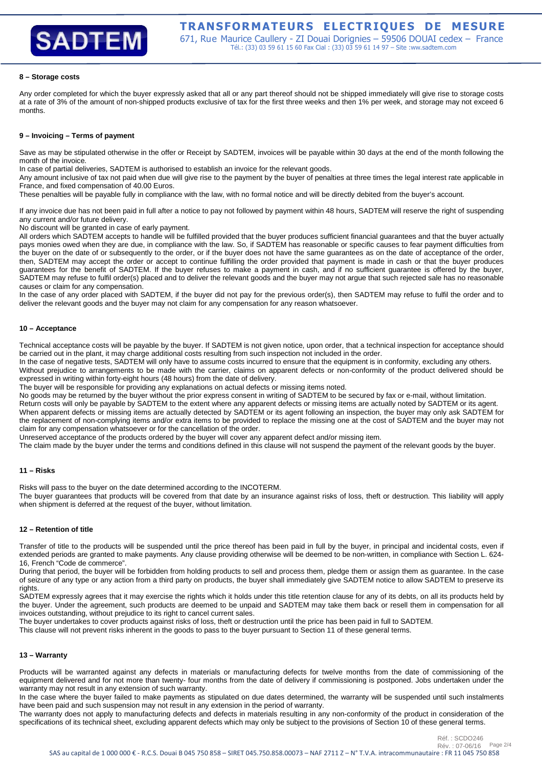# **SADTEM**

# **8 – Storage costs**

Any order completed for which the buyer expressly asked that all or any part thereof should not be shipped immediately will give rise to storage costs at a rate of 3% of the amount of non-shipped products exclusive of tax for the first three weeks and then 1% per week, and storage may not exceed 6 months.

# **9 – Invoicing – Terms of payment**

Save as may be stipulated otherwise in the offer or Receipt by SADTEM, invoices will be payable within 30 days at the end of the month following the month of the invoice.

In case of partial deliveries, SADTEM is authorised to establish an invoice for the relevant goods.

Any amount inclusive of tax not paid when due will give rise to the payment by the buyer of penalties at three times the legal interest rate applicable in France, and fixed compensation of 40.00 Euros.

These penalties will be payable fully in compliance with the law, with no formal notice and will be directly debited from the buyer's account.

If any invoice due has not been paid in full after a notice to pay not followed by payment within 48 hours, SADTEM will reserve the right of suspending any current and/or future delivery.

No discount will be granted in case of early payment.

All orders which SADTEM accepts to handle will be fulfilled provided that the buyer produces sufficient financial guarantees and that the buyer actually pays monies owed when they are due, in compliance with the law. So, if SADTEM has reasonable or specific causes to fear payment difficulties from the buyer on the date of or subsequently to the order, or if the buyer does not have the same guarantees as on the date of acceptance of the order, then, SADTEM may accept the order or accept to continue fulfilling the order provided that payment is made in cash or that the buyer produces guarantees for the benefit of SADTEM. If the buyer refuses to make a payment in cash, and if no sufficient guarantee is offered by the buyer, SADTEM may refuse to fulfil order(s) placed and to deliver the relevant goods and the buyer may not argue that such rejected sale has no reasonable causes or claim for any compensation.

In the case of any order placed with SADTEM, if the buyer did not pay for the previous order(s), then SADTEM may refuse to fulfil the order and to deliver the relevant goods and the buyer may not claim for any compensation for any reason whatsoever.

#### **10 – Acceptance**

Technical acceptance costs will be payable by the buyer. If SADTEM is not given notice, upon order, that a technical inspection for acceptance should be carried out in the plant, it may charge additional costs resulting from such inspection not included in the order.

In the case of negative tests, SADTEM will only have to assume costs incurred to ensure that the equipment is in conformity, excluding any others. Without prejudice to arrangements to be made with the carrier, claims on apparent defects or non-conformity of the product delivered should be expressed in writing within forty-eight hours (48 hours) from the date of delivery.

The buyer will be responsible for providing any explanations on actual defects or missing items noted.

No goods may be returned by the buyer without the prior express consent in writing of SADTEM to be secured by fax or e-mail, without limitation. Return costs will only be payable by SADTEM to the extent where any apparent defects or missing items are actually noted by SADTEM or its agent.

When apparent defects or missing items are actually detected by SADTEM or its agent following an inspection, the buyer may only ask SADTEM for the replacement of non-complying items and/or extra items to be provided to replace the missing one at the cost of SADTEM and the buyer may not claim for any compensation whatsoever or for the cancellation of the order.

Unreserved acceptance of the products ordered by the buyer will cover any apparent defect and/or missing item.

The claim made by the buyer under the terms and conditions defined in this clause will not suspend the payment of the relevant goods by the buyer.

# **11 – Risks**

Risks will pass to the buyer on the date determined according to the INCOTERM.

The buyer guarantees that products will be covered from that date by an insurance against risks of loss, theft or destruction. This liability will apply when shipment is deferred at the request of the buyer, without limitation.

# **12 – Retention of title**

Transfer of title to the products will be suspended until the price thereof has been paid in full by the buyer, in principal and incidental costs, even if extended periods are granted to make payments. Any clause providing otherwise will be deemed to be non-written, in compliance with Section L. 624- 16, French "Code de commerce".

During that period, the buyer will be forbidden from holding products to sell and process them, pledge them or assign them as guarantee. In the case of seizure of any type or any action from a third party on products, the buyer shall immediately give SADTEM notice to allow SADTEM to preserve its rights.

SADTEM expressly agrees that it may exercise the rights which it holds under this title retention clause for any of its debts, on all its products held by the buyer. Under the agreement, such products are deemed to be unpaid and SADTEM may take them back or resell them in compensation for all invoices outstanding, without prejudice to its right to cancel current sales.

The buyer undertakes to cover products against risks of loss, theft or destruction until the price has been paid in full to SADTEM.

This clause will not prevent risks inherent in the goods to pass to the buyer pursuant to Section 11 of these general terms.

# **13 – Warranty**

Products will be warranted against any defects in materials or manufacturing defects for twelve months from the date of commissioning of the equipment delivered and for not more than twenty- four months from the date of delivery if commissioning is postponed. Jobs undertaken under the warranty may not result in any extension of such warranty.

In the case where the buyer failed to make payments as stipulated on due dates determined, the warranty will be suspended until such instalments have been paid and such suspension may not result in any extension in the period of warranty.

The warranty does not apply to manufacturing defects and defects in materials resulting in any non-conformity of the product in consideration of the specifications of its technical sheet, excluding apparent defects which may only be subject to the provisions of Section 10 of these general terms.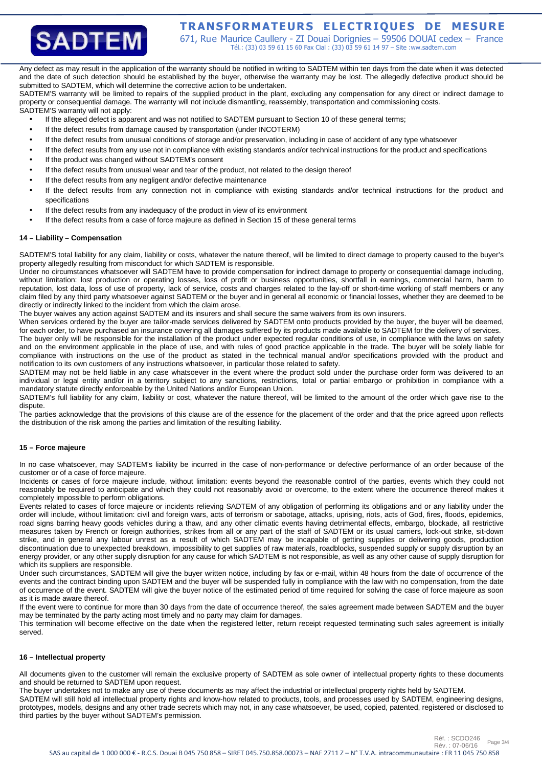

# **TRANSFORMATEURS ELECTRIQUES DE MESURE**

671, Rue Maurice Caullery - ZI Douai Dorignies – 59506 DOUAI cedex – France Tél.: (33) 03 59 61 15 60 Fax Cial : (33) 03 59 61 14 97 – Site :ww.sadtem.com

Any defect as may result in the application of the warranty should be notified in writing to SADTEM within ten days from the date when it was detected and the date of such detection should be established by the buyer, otherwise the warranty may be lost. The allegedly defective product should be submitted to SADTEM, which will determine the corrective action to be undertaken.

SADTEM'S warranty will be limited to repairs of the supplied product in the plant, excluding any compensation for any direct or indirect damage to property or consequential damage. The warranty will not include dismantling, reassembly, transportation and commissioning costs. SADTEM'S warranty will not apply:

If the alleged defect is apparent and was not notified to SADTEM pursuant to Section 10 of these general terms;

- If the defect results from damage caused by transportation (under INCOTERM)
- If the defect results from unusual conditions of storage and/or preservation, including in case of accident of any type whatsoever
- If the defect results from any use not in compliance with existing standards and/or technical instructions for the product and specifications
- If the product was changed without SADTEM's consent
- If the defect results from unusual wear and tear of the product, not related to the design thereof
- If the defect results from any negligent and/or defective maintenance
- If the defect results from any connection not in compliance with existing standards and/or technical instructions for the product and specifications
- If the defect results from any inadequacy of the product in view of its environment
- If the defect results from a case of force majeure as defined in Section 15 of these general terms

#### **14 – Liability – Compensation**

SADTEM'S total liability for any claim, liability or costs, whatever the nature thereof, will be limited to direct damage to property caused to the buyer's property allegedly resulting from misconduct for which SADTEM is responsible.

Under no circumstances whatsoever will SADTEM have to provide compensation for indirect damage to property or consequential damage including, without limitation: lost production or operating losses, loss of profit or business opportunities, shortfall in earnings, commercial harm, harm to reputation, lost data, loss of use of property, lack of service, costs and charges related to the lay-off or short-time working of staff members or any claim filed by any third party whatsoever against SADTEM or the buyer and in general all economic or financial losses, whether they are deemed to be directly or indirectly linked to the incident from which the claim arose.

The buyer waives any action against SADTEM and its insurers and shall secure the same waivers from its own insurers.

When services ordered by the buyer are tailor-made services delivered by SADTEM onto products provided by the buyer, the buyer will be deemed, for each order, to have purchased an insurance covering all damages suffered by its products made available to SADTEM for the delivery of services. The buyer only will be responsible for the installation of the product under expected regular conditions of use, in compliance with the laws on safety and on the environment applicable in the place of use, and with rules of good practice applicable in the trade. The buyer will be solely liable for compliance with instructions on the use of the product as stated in the technical manual and/or specifications provided with the product and notification to its own customers of any instructions whatsoever, in particular those related to safety.

SADTEM may not be held liable in any case whatsoever in the event where the product sold under the purchase order form was delivered to an individual or legal entity and/or in a territory subject to any sanctions, restrictions, total or partial embargo or prohibition in compliance with a mandatory statute directly enforceable by the United Nations and/or European Union.

SADTEM's full liability for any claim, liability or cost, whatever the nature thereof, will be limited to the amount of the order which gave rise to the dispute.

The parties acknowledge that the provisions of this clause are of the essence for the placement of the order and that the price agreed upon reflects the distribution of the risk among the parties and limitation of the resulting liability.

# **15 – Force majeure**

In no case whatsoever, may SADTEM's liability be incurred in the case of non-performance or defective performance of an order because of the customer or of a case of force majeure.

Incidents or cases of force majeure include, without limitation: events beyond the reasonable control of the parties, events which they could not reasonably be required to anticipate and which they could not reasonably avoid or overcome, to the extent where the occurrence thereof makes it completely impossible to perform obligations.

Events related to cases of force majeure or incidents relieving SADTEM of any obligation of performing its obligations and or any liability under the order will include, without limitation: civil and foreign wars, acts of terrorism or sabotage, attacks, uprising, riots, acts of God, fires, floods, epidemics, road signs barring heavy goods vehicles during a thaw, and any other climatic events having detrimental effects, embargo, blockade, all restrictive measures taken by French or foreign authorities, strikes from all or any part of the staff of SADTEM or its usual carriers, lock-out strike, sit-down strike, and in general any labour unrest as a result of which SADTEM may be incapable of getting supplies or delivering goods, production discontinuation due to unexpected breakdown, impossibility to get supplies of raw materials, roadblocks, suspended supply or supply disruption by an energy provider, or any other supply disruption for any cause for which SADTEM is not responsible, as well as any other cause of supply disruption for which its suppliers are responsible.

Under such circumstances, SADTEM will give the buyer written notice, including by fax or e-mail, within 48 hours from the date of occurrence of the events and the contract binding upon SADTEM and the buyer will be suspended fully in compliance with the law with no compensation, from the date of occurrence of the event. SADTEM will give the buyer notice of the estimated period of time required for solving the case of force majeure as soon as it is made aware thereof.

If the event were to continue for more than 30 days from the date of occurrence thereof, the sales agreement made between SADTEM and the buyer may be terminated by the party acting most timely and no party may claim for damages.

This termination will become effective on the date when the registered letter, return receipt requested terminating such sales agreement is initially served.

#### **16 – Intellectual property**

All documents given to the customer will remain the exclusive property of SADTEM as sole owner of intellectual property rights to these documents and should be returned to SADTEM upon request.

The buyer undertakes not to make any use of these documents as may affect the industrial or intellectual property rights held by SADTEM.

SADTEM will still hold all intellectual property rights and know-how related to products, tools, and processes used by SADTEM, engineering designs, prototypes, models, designs and any other trade secrets which may not, in any case whatsoever, be used, copied, patented, registered or disclosed to third parties by the buyer without SADTEM's permission.

Réf. : SCDO246